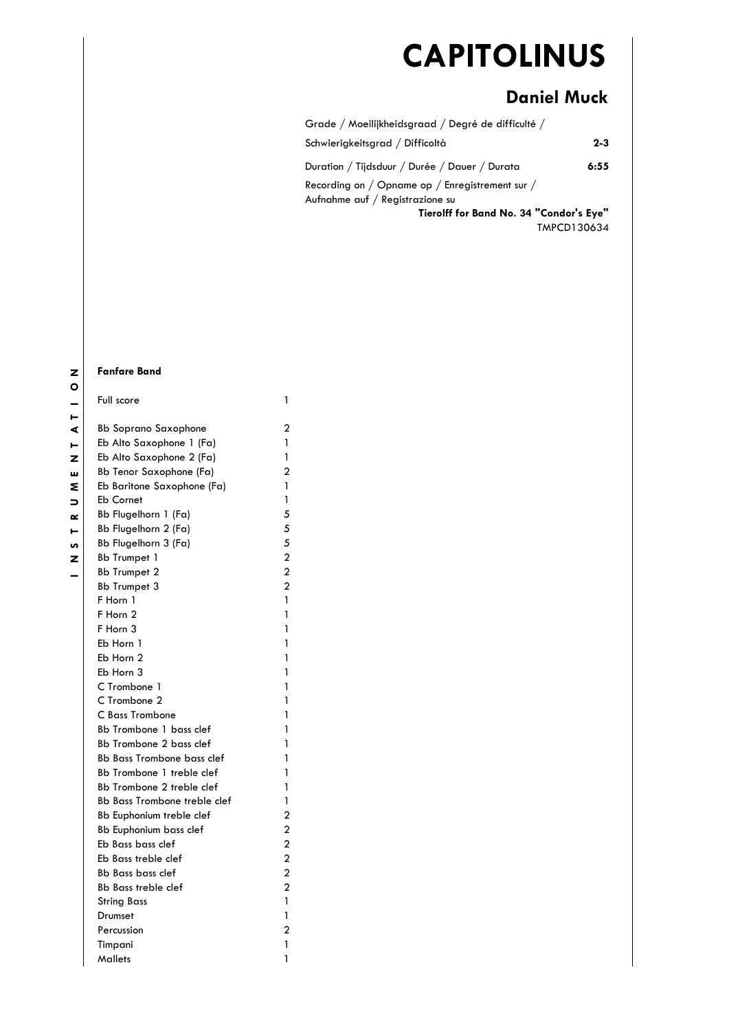# **CAPITOLINUS**

### **Daniel Muck**

**N**

#### **Fanfare Band**

|      | Full score                        | 1              |
|------|-----------------------------------|----------------|
|      |                                   |                |
| Ĺ    | <b>Bb Soprano Saxophone</b>       | $\overline{2}$ |
|      | Eb Alto Saxophone 1 (Fa)          | 1              |
| ŗ    | Eb Alto Saxophone 2 (Fa)          | 1              |
| g    | <b>Bb Tenor Saxophone (Fa)</b>    | $\overline{2}$ |
| Ē    | Eb Baritone Saxophone (Fa)        | $\mathbf{1}$   |
| J    | <b>Eb Cornet</b>                  | 1              |
| 1    | Bb Flugelhorn 1 (Fa)              | 5              |
|      | Bb Flugelhorn 2 (Fa)              | 5              |
| ,    | Bb Flugelhorn 3 (Fa)              | 5              |
| ֧֕֜֜ | <b>Bb Trumpet 1</b>               | $\overline{2}$ |
|      | <b>Bb Trumpet 2</b>               | $\overline{2}$ |
|      | <b>Bb Trumpet 3</b>               | $\overline{2}$ |
|      | F Horn 1                          | $\mathbf{1}$   |
|      | F Horn 2                          | 1              |
|      | F Horn 3                          | 1              |
|      | Eb Horn 1                         | 1              |
|      | Eb Horn 2                         | 1              |
|      | Eb Horn 3                         | 1              |
|      | C Trombone 1                      | 1              |
|      | C Trombone 2                      | 1              |
|      | <b>C Bass Trombone</b>            | 1              |
|      | Bb Trombone 1 bass clef           | 1              |
|      | Bb Trombone 2 bass clef           |                |
|      | <b>Bb Bass Trombone bass clef</b> |                |
|      | Bb Trombone 1 treble clef         |                |
|      |                                   |                |

| Grade / Moeilijkheidsgraad / Degré de difficulté /                                 |         |
|------------------------------------------------------------------------------------|---------|
| Schwierigkeitsgrad / Difficoltà                                                    | $2 - 3$ |
| Duration / Tijdsduur / Durée / Dauer / Durata                                      | 6:55    |
| Recording on / Opname op / Enregistrement sur /<br>Aufnahme auf / Registrazione su |         |
| Tierolff for Band No. 34 "Condor's Eye"                                            |         |
| <b>TMPCD130634</b>                                                                 |         |

| Bb Trombone 2 treble clef           |                |
|-------------------------------------|----------------|
| <b>Bb Bass Trombone treble clef</b> |                |
| Bb Euphonium treble clef            | 2              |
| <b>Bb Euphonium bass clef</b>       | 2              |
| Eb Bass bass clef                   | 2              |
| Eb Bass treble clef                 | $\overline{2}$ |
| Bb Bass bass clef                   | $\overline{2}$ |
| Bb Bass treble clef                 | $\overline{2}$ |
| <b>String Bass</b>                  | 1              |
| Drumset                             |                |
| Percussion                          | 2              |
| Timpani                             |                |
| Mallets                             |                |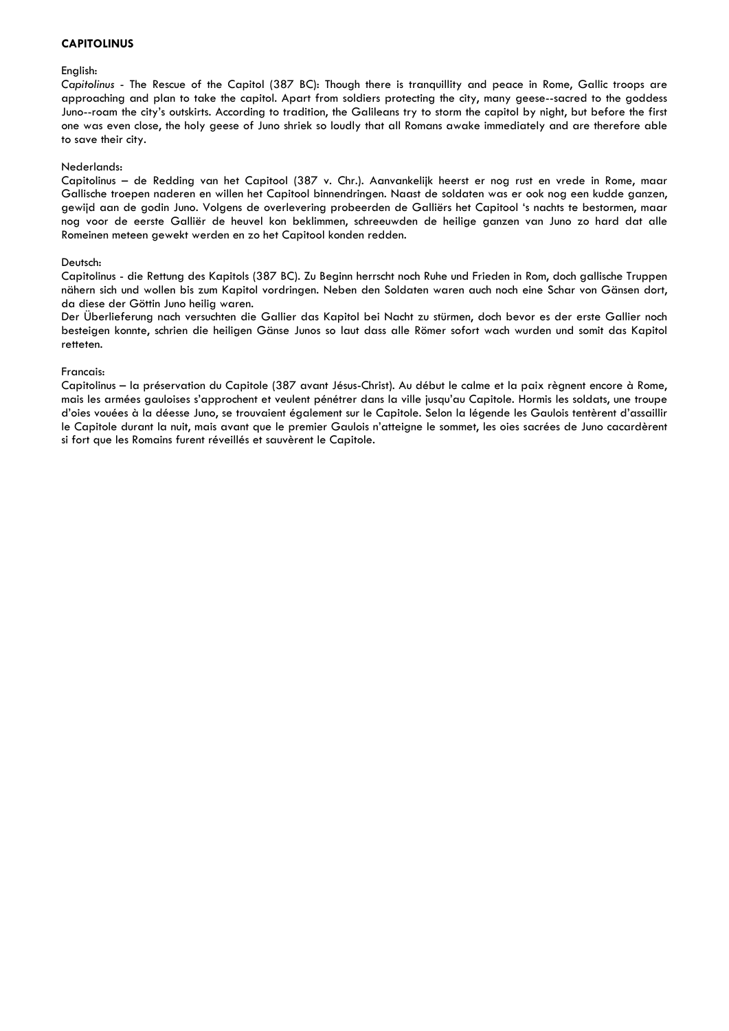#### **CAPITOLINUS**

English:

*Capitolinus* - The Rescue of the Capitol (387 BC): Though there is tranquillity and peace in Rome, Gallic troops are approaching and plan to take the capitol. Apart from soldiers protecting the city, many geese--sacred to the goddess Juno--roam the city's outskirts. According to tradition, the Galileans try to storm the capitol by night, but before the first one was even close, the holy geese of Juno shriek so loudly that all Romans awake immediately and are therefore able to save their city.

#### Nederlands:

Capitolinus – de Redding van het Capitool (387 v. Chr.). Aanvankelijk heerst er nog rust en vrede in Rome, maar Gallische troepen naderen en willen het Capitool binnendringen. Naast de soldaten was er ook nog een kudde ganzen, gewijd aan de godin Juno. Volgens de overlevering probeerden de Galliërs het Capitool 's nachts te bestormen, maar nog voor de eerste Galliër de heuvel kon beklimmen, schreeuwden de heilige ganzen van Juno zo hard dat alle Romeinen meteen gewekt werden en zo het Capitool konden redden.

#### Deutsch:

Capitolinus - die Rettung des Kapitols (387 BC). Zu Beginn herrscht noch Ruhe und Frieden in Rom, doch gallische Truppen nähern sich und wollen bis zum Kapitol vordringen. Neben den Soldaten waren auch noch eine Schar von Gänsen dort, da diese der Göttin Juno heilig waren.

Der Überlieferung nach versuchten die Gallier das Kapitol bei Nacht zu stürmen, doch bevor es der erste Gallier noch besteigen konnte, schrien die heiligen Gänse Junos so laut dass alle Römer sofort wach wurden und somit das Kapitol retteten.

#### Francais:

Capitolinus – la préservation du Capitole (387 avant Jésus-Christ). Au début le calme et la paix règnent encore à Rome, mais les armées gauloises s'approchent et veulent pénétrer dans la ville jusqu'au Capitole. Hormis les soldats, une troupe d'oies vouées à la déesse Juno, se trouvaient également sur le Capitole. Selon la légende les Gaulois tentèrent d'assaillir le Capitole durant la nuit, mais avant que le premier Gaulois n'atteigne le sommet, les oies sacrées de Juno cacardèrent si fort que les Romains furent réveillés et sauvèrent le Capitole.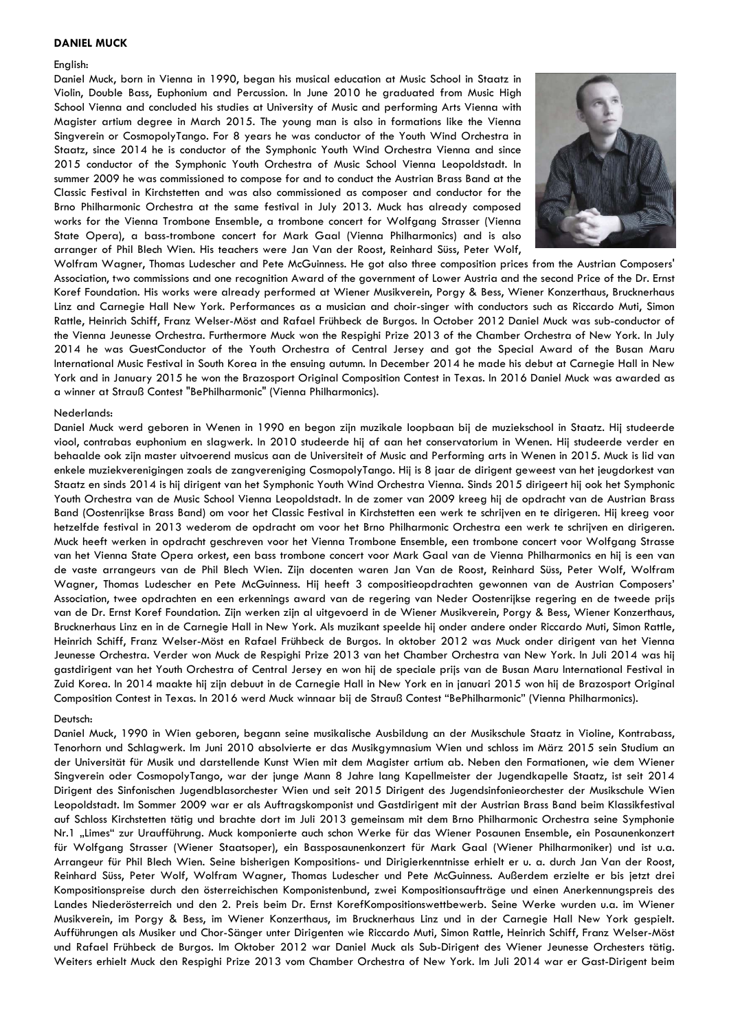#### **DANIEL MUCK**

English:

Daniel Muck, born in Vienna in 1990, began his musical education at Music School in Staatz in Violin, Double Bass, Euphonium and Percussion. In June 2010 he graduated from Music High School Vienna and concluded his studies at University of Music and performing Arts Vienna with Magister artium degree in March 2015. The young man is also in formations like the Vienna Singverein or CosmopolyTango. For 8 years he was conductor of the Youth Wind Orchestra in Staatz, since 2014 he is conductor of the Symphonic Youth Wind Orchestra Vienna and since 2015 conductor of the Symphonic Youth Orchestra of Music School Vienna Leopoldstadt. In summer 2009 he was commissioned to compose for and to conduct the Austrian Brass Band at the Classic Festival in Kirchstetten and was also commissioned as composer and conductor for the Brno Philharmonic Orchestra at the same festival in July 2013. Muck has already composed works for the Vienna Trombone Ensemble, a trombone concert for Wolfgang Strasser (Vienna State Opera), a bass-trombone concert for Mark Gaal (Vienna Philharmonics) and is also arranger of Phil Blech Wien. His teachers were Jan Van der Roost, Reinhard Süss, Peter Wolf,



Wolfram Wagner, Thomas Ludescher and Pete McGuinness. He got also three composition prices from the Austrian Composers' Association, two commissions and one recognition Award of the government of Lower Austria and the second Price of the Dr. Ernst Koref Foundation. His works were already performed at Wiener Musikverein, Porgy & Bess, Wiener Konzerthaus, Brucknerhaus Linz and Carnegie Hall New York. Performances as a musician and choir-singer with conductors such as Riccardo Muti, Simon Rattle, Heinrich Schiff, Franz Welser-Möst and Rafael Frühbeck de Burgos. In October 2012 Daniel Muck was sub-conductor of the Vienna Jeunesse Orchestra. Furthermore Muck won the Respighi Prize 2013 of the Chamber Orchestra of New York. In July 2014 he was GuestConductor of the Youth Orchestra of Central Jersey and got the Special Award of the Busan Maru International Music Festival in South Korea in the ensuing autumn. In December 2014 he made his debut at Carnegie Hall in New York and in January 2015 he won the Brazosport Original Composition Contest in Texas. In 2016 Daniel Muck was awarded as a winner at Strauß Contest "BePhilharmonic" (Vienna Philharmonics).

#### Nederlands:

Daniel Muck werd geboren in Wenen in 1990 en begon zijn muzikale loopbaan bij de muziekschool in Staatz. Hij studeerde viool, contrabas euphonium en slagwerk. In 2010 studeerde hij af aan het conservatorium in Wenen. Hij studeerde verder en behaalde ook zijn master uitvoerend musicus aan de Universiteit of Music and Performing arts in Wenen in 2015. Muck is lid van enkele muziekverenigingen zoals de zangvereniging CosmopolyTango. Hij is 8 jaar de dirigent geweest van het jeugdorkest van Staatz en sinds 2014 is hij dirigent van het Symphonic Youth Wind Orchestra Vienna. Sinds 2015 dirigeert hij ook het Symphonic Youth Orchestra van de Music School Vienna Leopoldstadt. In de zomer van 2009 kreeg hij de opdracht van de Austrian Brass Band (Oostenrijkse Brass Band) om voor het Classic Festival in Kirchstetten een werk te schrijven en te dirigeren. Hij kreeg voor hetzelfde festival in 2013 wederom de opdracht om voor het Brno Philharmonic Orchestra een werk te schrijven en dirigeren. Muck heeft werken in opdracht geschreven voor het Vienna Trombone Ensemble, een trombone concert voor Wolfgang Strasse van het Vienna State Opera orkest, een bass trombone concert voor Mark Gaal van de Vienna Philharmonics en hij is een van de vaste arrangeurs van de Phil Blech Wien. Zijn docenten waren Jan Van de Roost, Reinhard Süss, Peter Wolf, Wolfram Wagner, Thomas Ludescher en Pete McGuinness. Hij heeft 3 compositieopdrachten gewonnen van de Austrian Composers' Association, twee opdrachten en een erkennings award van de regering van Neder Oostenrijkse regering en de tweede prijs van de Dr. Ernst Koref Foundation. Zijn werken zijn al uitgevoerd in de Wiener Musikverein, Porgy & Bess, Wiener Konzerthaus, Brucknerhaus Linz en in de Carnegie Hall in New York. Als muzikant speelde hij onder andere onder Riccardo Muti, Simon Rattle, Heinrich Schiff, Franz Welser-Möst en Rafael Frühbeck de Burgos. In oktober 2012 was Muck onder dirigent van het Vienna Jeunesse Orchestra. Verder won Muck de Respighi Prize 2013 van het Chamber Orchestra van New York. In Juli 2014 was hij gastdirigent van het Youth Orchestra of Central Jersey en won hij de speciale prijs van de Busan Maru International Festival in Zuid Korea. In 2014 maakte hij zijn debuut in de Carnegie Hall in New York en in januari 2015 won hij de Brazosport Original Composition Contest in Texas. In 2016 werd Muck winnaar bij de Strauß Contest "BePhilharmonic" (Vienna Philharmonics).

#### Deutsch:

Daniel Muck, 1990 in Wien geboren, begann seine musikalische Ausbildung an der Musikschule Staatz in Violine, Kontrabass, Tenorhorn und Schlagwerk. Im Juni 2010 absolvierte er das Musikgymnasium Wien und schloss im März 2015 sein Studium an der Universität für Musik und darstellende Kunst Wien mit dem Magister artium ab. Neben den Formationen, wie dem Wiener Singverein oder CosmopolyTango, war der junge Mann 8 Jahre lang Kapellmeister der Jugendkapelle Staatz, ist seit 2014 Dirigent des Sinfonischen Jugendblasorchester Wien und seit 2015 Dirigent des Jugendsinfonieorchester der Musikschule Wien Leopoldstadt. Im Sommer 2009 war er als Auftragskomponist und Gastdirigent mit der Austrian Brass Band beim Klassikfestival auf Schloss Kirchstetten tätig und brachte dort im Juli 2013 gemeinsam mit dem Brno Philharmonic Orchestra seine Symphonie Nr.1 "Limes" zur Uraufführung. Muck komponierte auch schon Werke für das Wiener Posaunen Ensemble, ein Posaunenkonzert für Wolfgang Strasser (Wiener Staatsoper), ein Bassposaunenkonzert für Mark Gaal (Wiener Philharmoniker) und ist u.a. Arrangeur für Phil Blech Wien. Seine bisherigen Kompositions- und Dirigierkenntnisse erhielt er u. a. durch Jan Van der Roost, Reinhard Süss, Peter Wolf, Wolfram Wagner, Thomas Ludescher und Pete McGuinness. Außerdem erzielte er bis jetzt drei Kompositionspreise durch den österreichischen Komponistenbund, zwei Kompositionsaufträge und einen Anerkennungspreis des Landes Niederösterreich und den 2. Preis beim Dr. Ernst KorefKompositionswettbewerb. Seine Werke wurden u.a. im Wiener Musikverein, im Porgy & Bess, im Wiener Konzerthaus, im Brucknerhaus Linz und in der Carnegie Hall New York gespielt. Aufführungen als Musiker und Chor-Sänger unter Dirigenten wie Riccardo Muti, Simon Rattle, Heinrich Schiff, Franz Welser-Möst und Rafael Frühbeck de Burgos. Im Oktober 2012 war Daniel Muck als Sub-Dirigent des Wiener Jeunesse Orchesters tätig. Weiters erhielt Muck den Respighi Prize 2013 vom Chamber Orchestra of New York. Im Juli 2014 war er Gast-Dirigent beim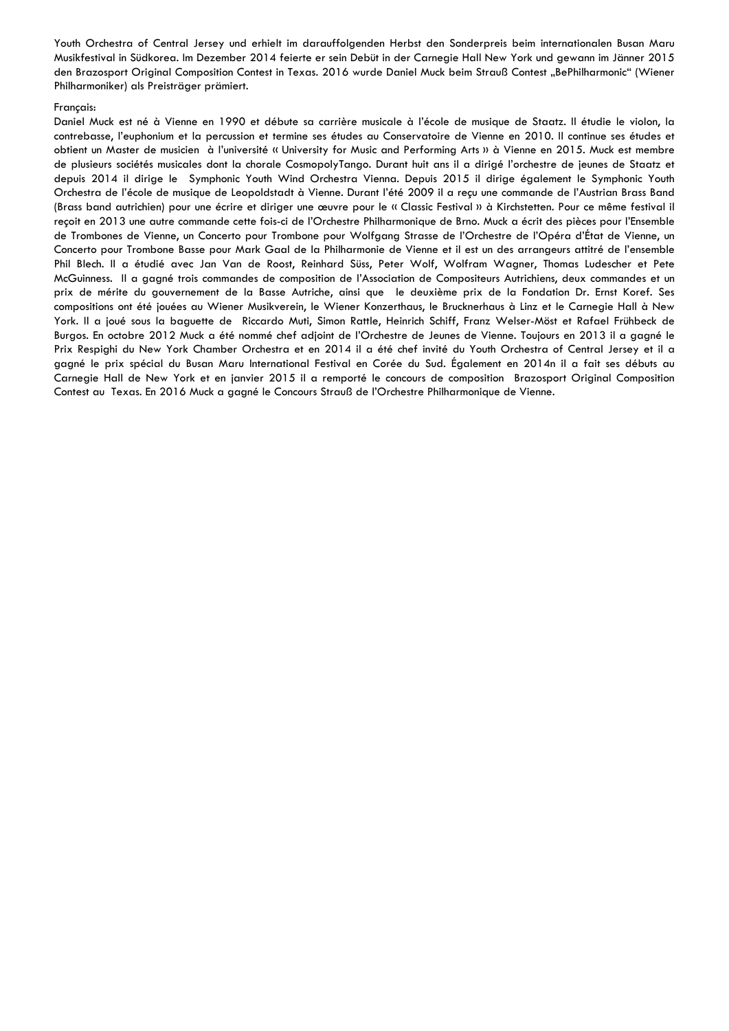Youth Orchestra of Central Jersey und erhielt im darauffolgenden Herbst den Sonderpreis beim internationalen Busan Maru Musikfestival in Südkorea. Im Dezember 2014 feierte er sein Debüt in der Carnegie Hall New York und gewann im Jänner 2015 den Brazosport Original Composition Contest in Texas. 2016 wurde Daniel Muck beim Strauß Contest "BePhilharmonic" (Wiener Philharmoniker) als Preisträger prämiert.

#### Français:

Daniel Muck est né à Vienne en 1990 et débute sa carrière musicale à l'école de musique de Staatz. Il étudie le violon, la contrebasse, l'euphonium et la percussion et termine ses études au Conservatoire de Vienne en 2010. Il continue ses études et obtient un Master de musicien à l'université « University for Music and Performing Arts » à Vienne en 2015. Muck est membre de plusieurs sociétés musicales dont la chorale CosmopolyTango. Durant huit ans il a dirigé l'orchestre de jeunes de Staatz et depuis 2014 il dirige le Symphonic Youth Wind Orchestra Vienna. Depuis 2015 il dirige également le Symphonic Youth Orchestra de l'école de musique de Leopoldstadt à Vienne. Durant l'été 2009 il a reçu une commande de l'Austrian Brass Band (Brass band autrichien) pour une écrire et diriger une œuvre pour le « Classic Festival » à Kirchstetten. Pour ce même festival il reçoit en 2013 une autre commande cette fois-ci de l'Orchestre Philharmonique de Brno. Muck a écrit des pièces pour l'Ensemble de Trombones de Vienne, un Concerto pour Trombone pour Wolfgang Strasse de l'Orchestre de l'Opéra d'État de Vienne, un Concerto pour Trombone Basse pour Mark Gaal de la Philharmonie de Vienne et il est un des arrangeurs attitré de l'ensemble Phil Blech. Il a étudié avec Jan Van de Roost, Reinhard Süss, Peter Wolf, Wolfram Wagner, Thomas Ludescher et Pete McGuinness. Il a gagné trois commandes de composition de l'Association de Compositeurs Autrichiens, deux commandes et un prix de mérite du gouvernement de la Basse Autriche, ainsi que le deuxième prix de la Fondation Dr. Ernst Koref. Ses compositions ont été jouées au Wiener Musikverein, le Wiener Konzerthaus, le Brucknerhaus à Linz et le Carnegie Hall à New York. Il a joué sous la baguette de Riccardo Muti, Simon Rattle, Heinrich Schiff, Franz Welser-Möst et Rafael Frühbeck de Burgos. En octobre 2012 Muck a été nommé chef adjoint de l'Orchestre de Jeunes de Vienne. Toujours en 2013 il a gagné le Prix Respighi du New York Chamber Orchestra et en 2014 il a été chef invité du Youth Orchestra of Central Jersey et il a gagné le prix spécial du Busan Maru International Festival en Corée du Sud. Également en 2014n il a fait ses débuts au Carnegie Hall de New York et en janvier 2015 il a remporté le concours de composition Brazosport Original Composition Contest au Texas. En 2016 Muck a gagné le Concours Strauß de l'Orchestre Philharmonique de Vienne.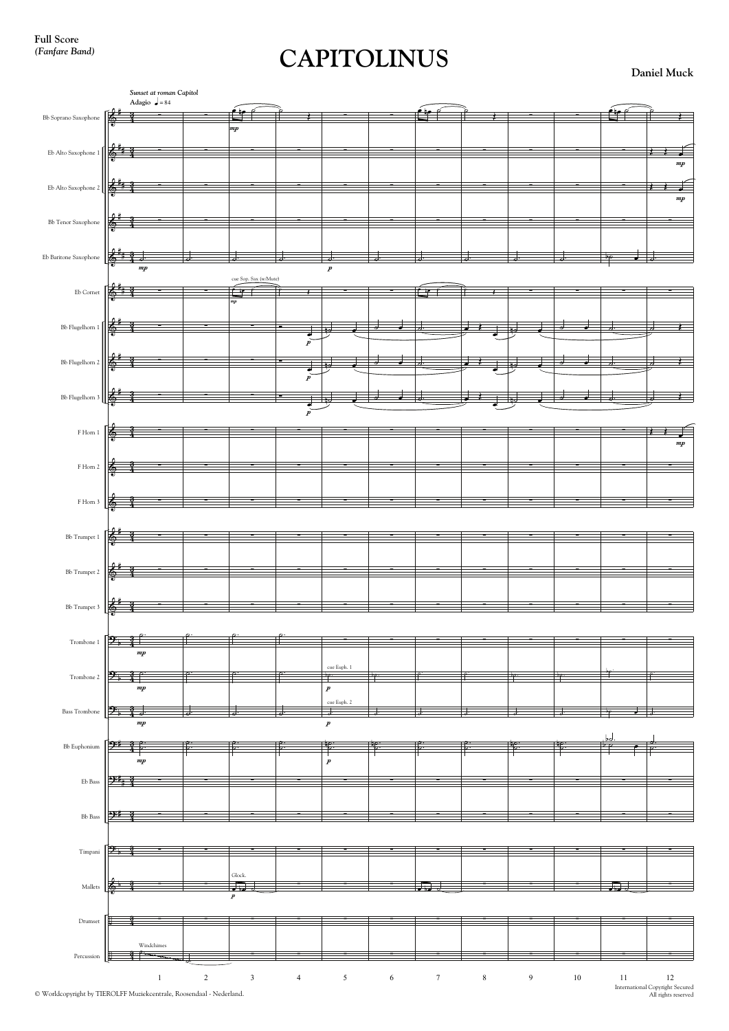

## **CAPITOLINUS**

**Daniel Muck**

© Worldcopyright by TIEROLFF Muziekcentrale, Roosendaal - Nederland.

All rights reserved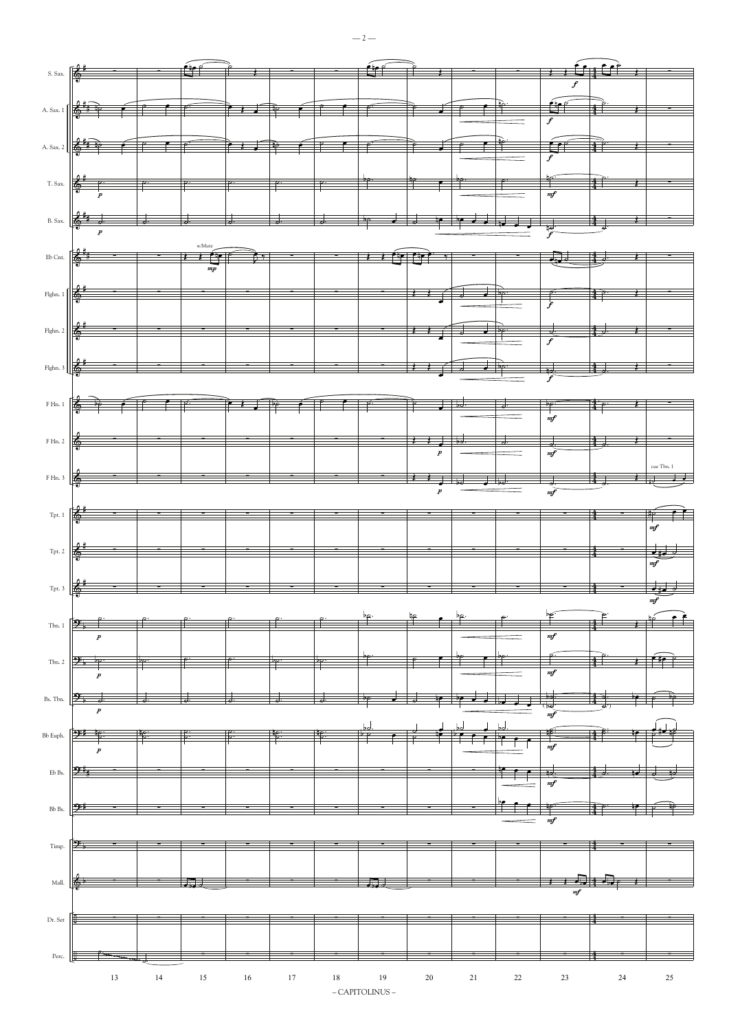

 $-2-$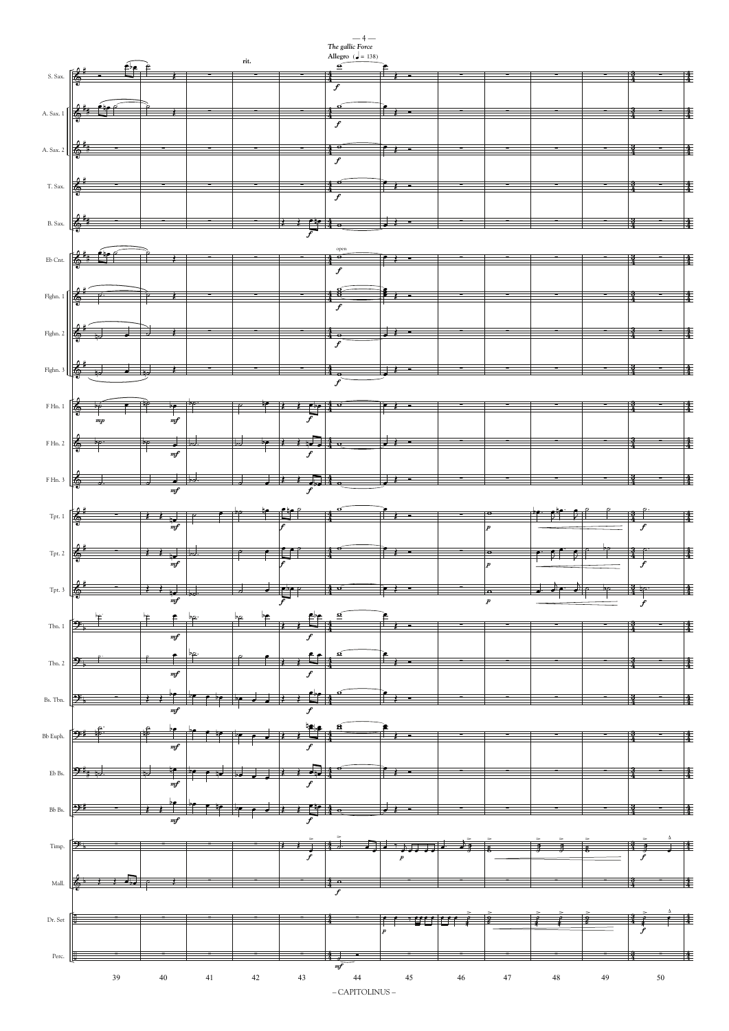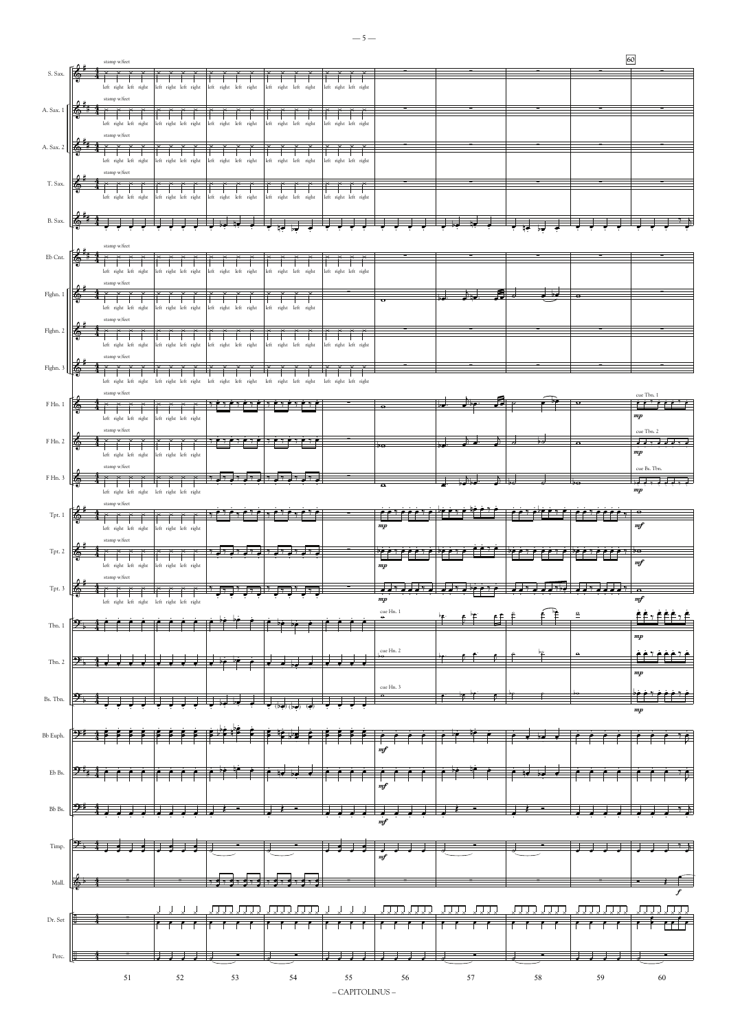|                 |                          | stamp w/feet                                                                             |                       |                                                                                                               |                                        |                       |                                  |                                           | 60                            |                          |                                         |
|-----------------|--------------------------|------------------------------------------------------------------------------------------|-----------------------|---------------------------------------------------------------------------------------------------------------|----------------------------------------|-----------------------|----------------------------------|-------------------------------------------|-------------------------------|--------------------------|-----------------------------------------|
| S. Sax.         |                          |                                                                                          |                       |                                                                                                               |                                        |                       |                                  |                                           |                               |                          |                                         |
|                 |                          | left right left right                                                                    | left right left right | left right left right                                                                                         | left right left right                  | left right left right |                                  |                                           |                               |                          |                                         |
|                 |                          |                                                                                          |                       |                                                                                                               |                                        |                       |                                  |                                           |                               |                          |                                         |
|                 |                          | stamp w/feet                                                                             |                       |                                                                                                               |                                        |                       |                                  |                                           |                               |                          |                                         |
| A. Sax. 1       |                          | ∗                                                                                        |                       |                                                                                                               |                                        |                       |                                  |                                           |                               |                          |                                         |
|                 |                          | left right left right                                                                    | left right left right | left right left right                                                                                         | left right left right                  | left right left right |                                  |                                           |                               |                          |                                         |
|                 |                          | stamp w/feet                                                                             |                       |                                                                                                               |                                        |                       |                                  |                                           |                               |                          |                                         |
| A. Sax. 2       |                          |                                                                                          |                       |                                                                                                               |                                        |                       |                                  |                                           |                               |                          |                                         |
|                 |                          |                                                                                          |                       |                                                                                                               |                                        |                       |                                  |                                           |                               |                          |                                         |
|                 |                          | left right left right                                                                    | left right left right | left right left right                                                                                         | left right left right                  | left right left right |                                  |                                           |                               |                          |                                         |
|                 |                          | stamp w/feet                                                                             |                       |                                                                                                               |                                        |                       |                                  |                                           |                               |                          |                                         |
| T. Sax.         | $\hat{\mathbb{P}}$       |                                                                                          |                       |                                                                                                               |                                        |                       |                                  |                                           |                               |                          |                                         |
|                 |                          | left right left right                                                                    | left right left right | left right left right                                                                                         | left right left right                  | left right left right |                                  |                                           |                               |                          |                                         |
|                 |                          |                                                                                          |                       |                                                                                                               |                                        |                       |                                  |                                           |                               |                          |                                         |
| B. Sax.         |                          |                                                                                          |                       |                                                                                                               |                                        |                       |                                  |                                           |                               |                          |                                         |
|                 |                          |                                                                                          |                       |                                                                                                               |                                        |                       |                                  | ے‡                                        |                               |                          |                                         |
|                 |                          |                                                                                          |                       |                                                                                                               |                                        |                       |                                  |                                           |                               |                          |                                         |
|                 |                          | stamp w/feet                                                                             |                       |                                                                                                               |                                        |                       |                                  |                                           |                               |                          |                                         |
| Eb Cnt.         |                          |                                                                                          |                       |                                                                                                               |                                        |                       |                                  |                                           |                               |                          |                                         |
|                 |                          | left right left right                                                                    | left right left right | left right left right                                                                                         | left right left right                  | left right left right |                                  |                                           |                               |                          |                                         |
|                 |                          | stamp w/feet                                                                             |                       |                                                                                                               |                                        |                       |                                  |                                           |                               |                          |                                         |
| Flghn. 1        |                          |                                                                                          |                       |                                                                                                               |                                        |                       |                                  | ₹                                         | $\overline{\phantom{a}}$<br>ß | $\overline{\phantom{a}}$ |                                         |
|                 |                          | $\operatorname{left}\nolimits\hspace{1mm}$ right $\operatorname{left}\hspace{1mm}$ right | left right left right | left right left right                                                                                         | left right left right                  |                       |                                  |                                           |                               |                          |                                         |
|                 |                          | stamp $\ensuremath{\text{w/feet}}$                                                       |                       |                                                                                                               |                                        |                       |                                  |                                           |                               |                          |                                         |
| Flghn. 2        |                          |                                                                                          |                       |                                                                                                               |                                        |                       |                                  |                                           |                               |                          |                                         |
|                 |                          |                                                                                          |                       |                                                                                                               |                                        |                       |                                  |                                           |                               |                          |                                         |
|                 |                          | left right left right                                                                    | left right left right | left right left right                                                                                         | left right left right                  | left right left right |                                  |                                           |                               |                          |                                         |
|                 |                          | stamp w/feet                                                                             |                       |                                                                                                               |                                        |                       |                                  |                                           |                               |                          |                                         |
| Flghn. 3        | る                        |                                                                                          |                       |                                                                                                               |                                        |                       |                                  |                                           |                               |                          |                                         |
|                 |                          |                                                                                          |                       | left right left right left right left right left right left right left right left right left right left right |                                        |                       |                                  |                                           |                               |                          |                                         |
|                 |                          | stamp w/feet                                                                             |                       |                                                                                                               |                                        |                       |                                  |                                           |                               |                          | cue Tbn. 1                              |
| F Hn. 1         | <b>45</b>                |                                                                                          |                       |                                                                                                               | <u>y p y p y p y p y p y p y p y p</u> |                       | $\overline{\bullet}$             | $\overline{\phantom{a}}$<br>$\rightarrow$ | $\overline{\mathcal{L}}$<br>≁ | $\overline{\phantom{0}}$ | <del>م <sup>ب</sup> م م م ب</del> م م ا |
|                 |                          | $\operatorname{\sf left}\,$ right $\operatorname{\sf left}\,$ right                      | left right left right |                                                                                                               |                                        |                       |                                  |                                           |                               |                          | $\boldsymbol{m}$                        |
|                 |                          | stamp w/feet                                                                             |                       |                                                                                                               |                                        |                       |                                  |                                           |                               |                          | cue Tbn. 2                              |
| ${\rm F}$ Hn. 2 | ₩                        |                                                                                          |                       | <del>х х х х х х х ч ачачачачачачача</del>                                                                    |                                        |                       |                                  | ᅕ                                         |                               |                          |                                         |
|                 | $ \circledast$           |                                                                                          |                       |                                                                                                               |                                        |                       | ÞΘ                               |                                           |                               |                          | $\boldsymbol{m}{\boldsymbol{p}}$        |
|                 |                          | left right left right                                                                    | left right left right |                                                                                                               |                                        |                       |                                  |                                           |                               |                          |                                         |
|                 |                          | stamp w/feet                                                                             |                       |                                                                                                               |                                        |                       |                                  |                                           |                               |                          | cue Bs. Tbn.                            |
| $\rm F$ Hn. 3   | $\circ$<br>$\bullet$     |                                                                                          |                       |                                                                                                               |                                        |                       | $\bullet$                        |                                           |                               |                          | $\overline{\phantom{a}}$                |
|                 |                          | left right left right left right left right                                              |                       |                                                                                                               |                                        |                       |                                  |                                           |                               |                          | $\boldsymbol{m}{\boldsymbol{p}}$        |
|                 |                          | stamp w/feet                                                                             |                       |                                                                                                               |                                        |                       |                                  |                                           |                               |                          |                                         |
| Tpt. 1          |                          |                                                                                          |                       |                                                                                                               |                                        |                       |                                  |                                           |                               |                          | $+$ $\bullet$                           |
|                 | $\overline{\bullet}$     | left right left right                                                                    | left right left right |                                                                                                               |                                        |                       | $\boldsymbol{m}{\boldsymbol{p}}$ |                                           |                               |                          | $\it mf$                                |
|                 |                          | stamp w/feet                                                                             |                       |                                                                                                               |                                        |                       |                                  |                                           |                               |                          |                                         |
| Tpt. 2          |                          |                                                                                          |                       |                                                                                                               |                                        |                       | Þ₽                               |                                           |                               |                          | 9p                                      |
|                 |                          |                                                                                          |                       |                                                                                                               |                                        |                       |                                  |                                           |                               |                          | $\it mf$                                |
|                 |                          | $\operatorname{\sf left}\,$ right $\operatorname{\sf left}\,$ right                      | left right left right |                                                                                                               |                                        |                       | $\sqrt{np}$                      |                                           |                               |                          |                                         |
|                 |                          | stamp w/feet                                                                             |                       |                                                                                                               |                                        |                       |                                  |                                           |                               |                          |                                         |
| Tpt. 3          |                          |                                                                                          |                       |                                                                                                               |                                        |                       |                                  |                                           |                               |                          | $\overline{\phantom{a}}$                |
|                 |                          | left right left right left right left right                                              |                       |                                                                                                               |                                        |                       | $\boldsymbol{m}$                 |                                           |                               |                          | $m\!f$                                  |
|                 |                          |                                                                                          |                       |                                                                                                               |                                        |                       | cue Hn. 1<br>$\bullet$           |                                           |                               | $\mathbf{Q}$             |                                         |
| Tbn. 1          |                          |                                                                                          |                       |                                                                                                               |                                        |                       |                                  |                                           |                               |                          |                                         |
|                 |                          |                                                                                          |                       |                                                                                                               |                                        |                       |                                  |                                           |                               |                          | $\boldsymbol{m}$                        |
|                 |                          |                                                                                          |                       |                                                                                                               |                                        |                       | cue Hn. 2                        |                                           |                               |                          |                                         |
| Tbn. 2          |                          |                                                                                          |                       |                                                                                                               |                                        |                       |                                  |                                           | ÞΡ                            |                          |                                         |
|                 |                          |                                                                                          |                       |                                                                                                               |                                        |                       |                                  |                                           |                               |                          | $\sqrt{np}$                             |
|                 |                          |                                                                                          |                       |                                                                                                               |                                        |                       |                                  |                                           |                               |                          |                                         |
|                 |                          |                                                                                          |                       |                                                                                                               |                                        |                       | cue Hn. 3                        |                                           |                               |                          |                                         |
| Bs. Tbn.        | $\mathbf{\mathcal{D}}$ , |                                                                                          |                       |                                                                                                               |                                        |                       |                                  |                                           |                               |                          |                                         |
|                 |                          |                                                                                          |                       |                                                                                                               |                                        |                       |                                  |                                           |                               |                          | $\sqrt{np}$                             |
|                 |                          |                                                                                          |                       |                                                                                                               |                                        |                       |                                  |                                           |                               |                          |                                         |
| Bb Euph.        |                          |                                                                                          |                       |                                                                                                               |                                        |                       |                                  |                                           |                               |                          |                                         |
|                 |                          |                                                                                          |                       |                                                                                                               |                                        |                       | m f                              |                                           |                               |                          |                                         |
|                 |                          |                                                                                          |                       |                                                                                                               |                                        |                       |                                  |                                           |                               |                          |                                         |

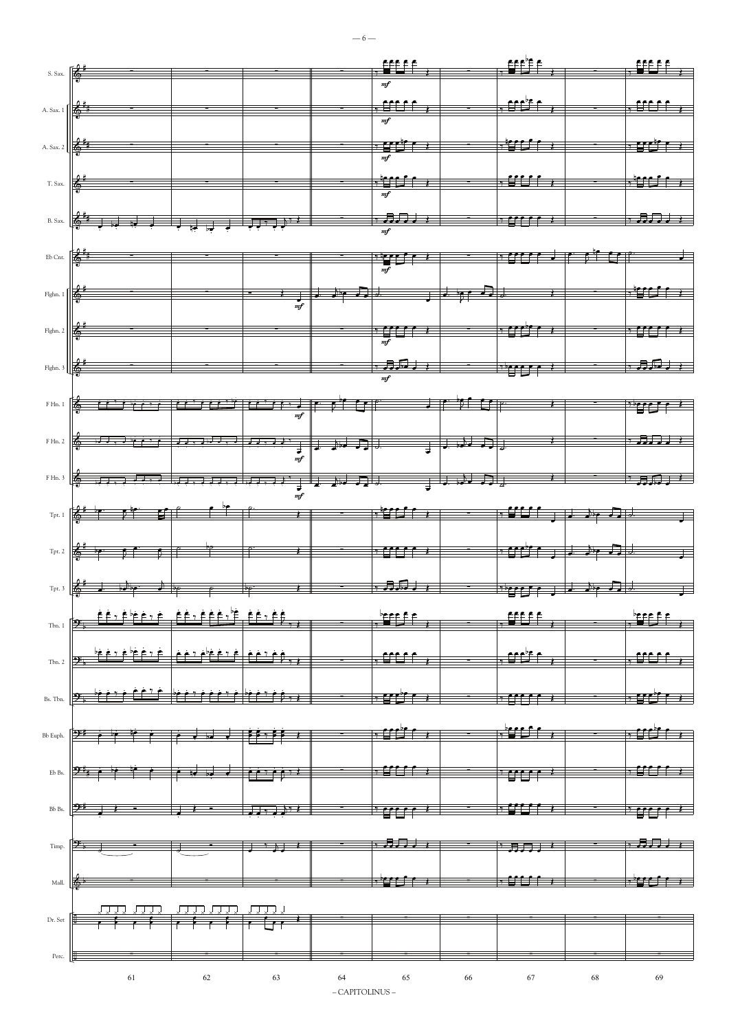

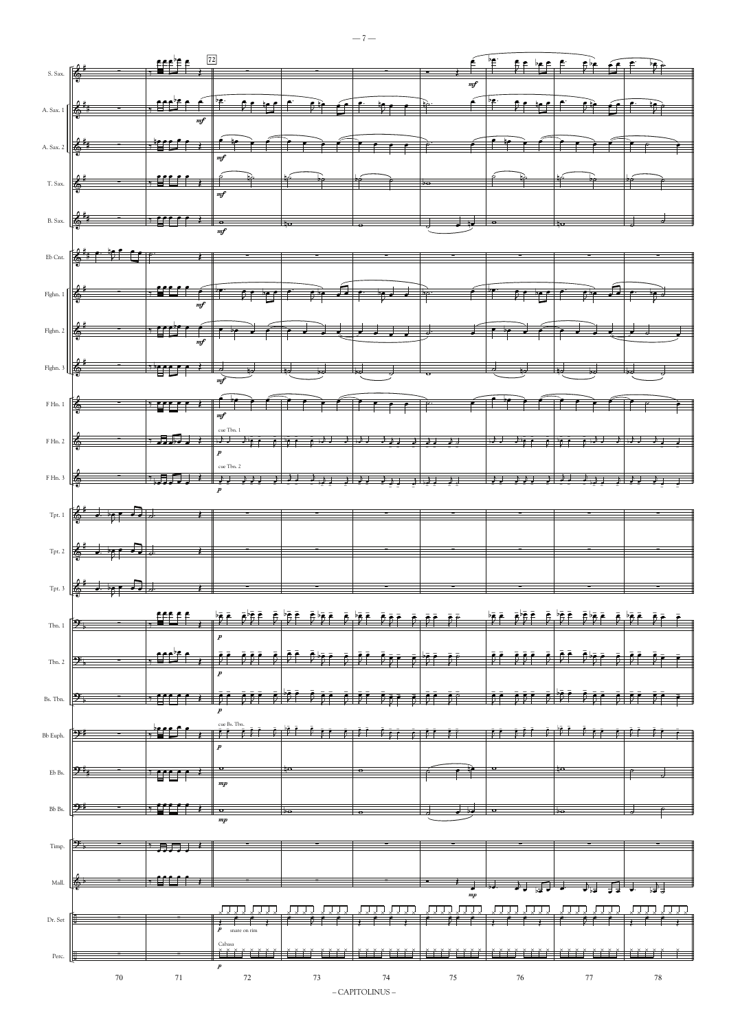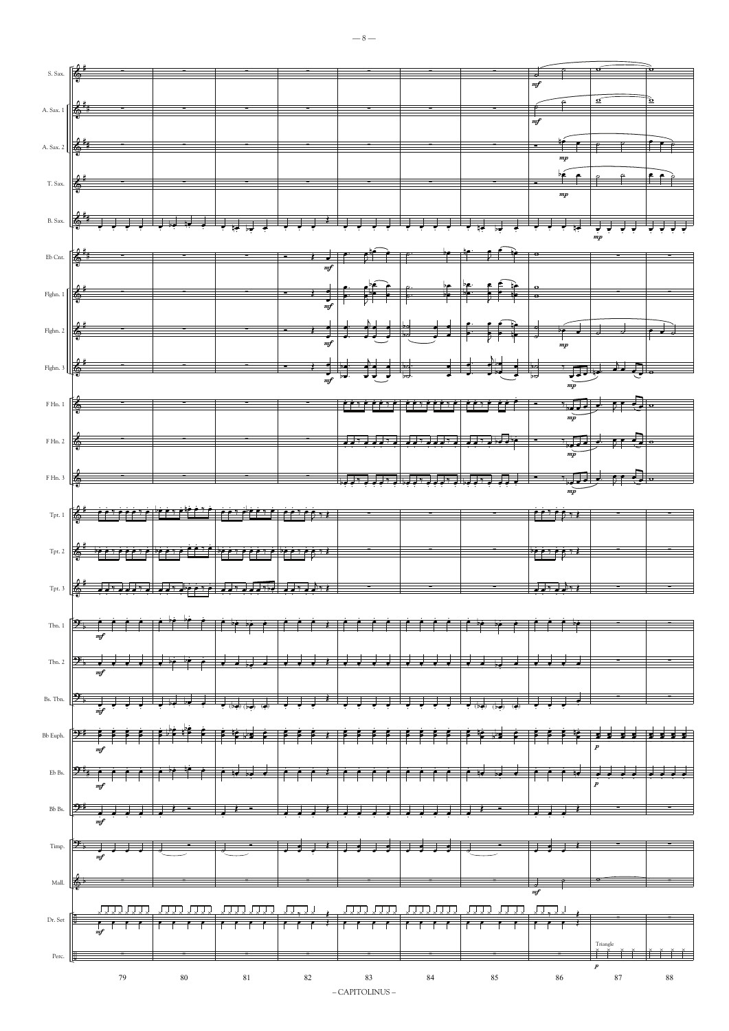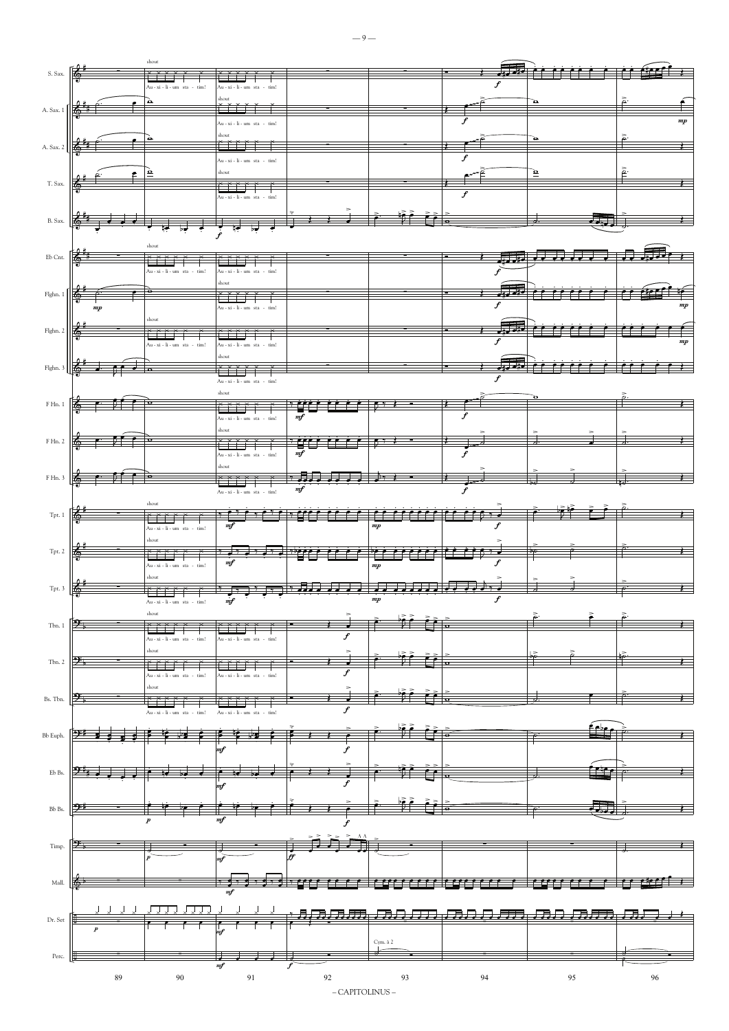

– CAPITOLINUS –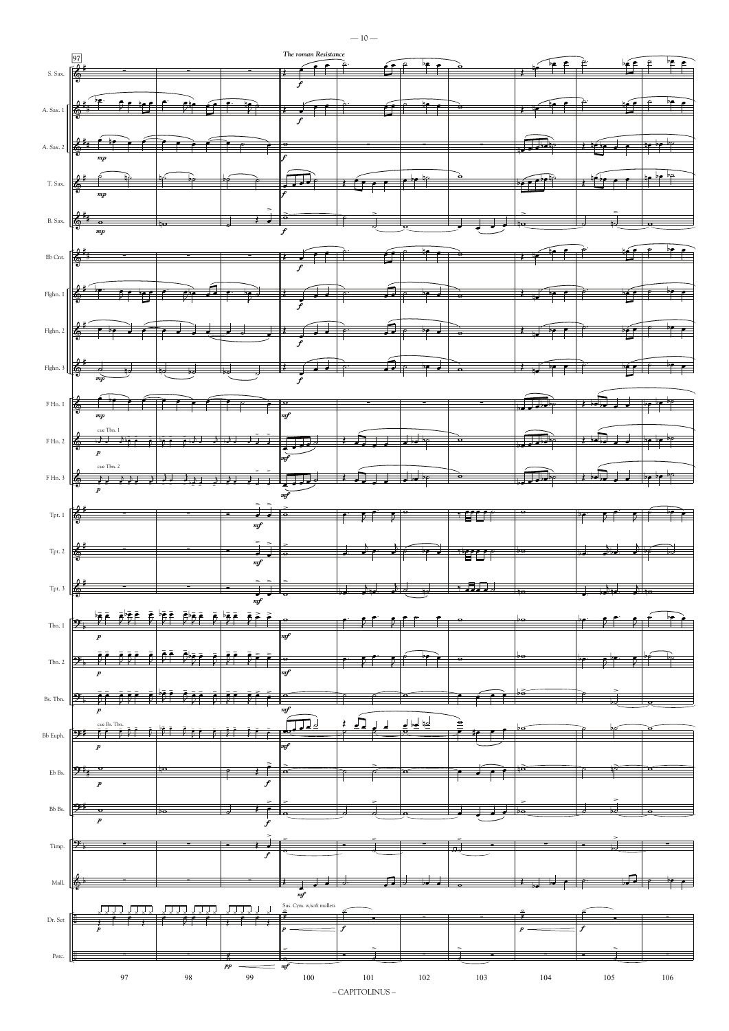

 $-10-$